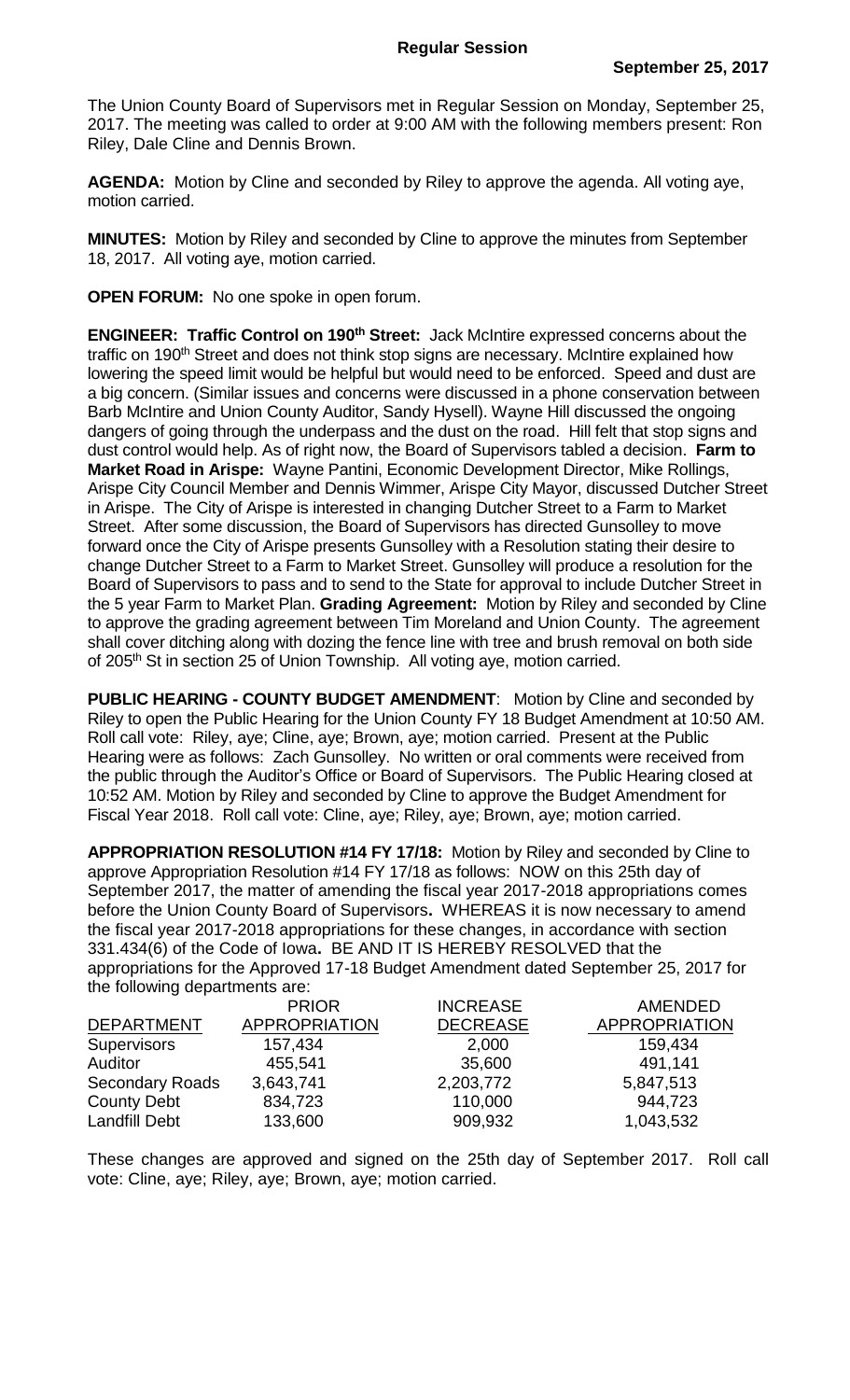The Union County Board of Supervisors met in Regular Session on Monday, September 25, 2017. The meeting was called to order at 9:00 AM with the following members present: Ron Riley, Dale Cline and Dennis Brown.

**AGENDA:** Motion by Cline and seconded by Riley to approve the agenda. All voting aye, motion carried.

**MINUTES:** Motion by Riley and seconded by Cline to approve the minutes from September 18, 2017. All voting aye, motion carried.

**OPEN FORUM:** No one spoke in open forum.

**ENGINEER: Traffic Control on 190th Street:** Jack McIntire expressed concerns about the traffic on 190<sup>th</sup> Street and does not think stop signs are necessary. McIntire explained how lowering the speed limit would be helpful but would need to be enforced. Speed and dust are a big concern. (Similar issues and concerns were discussed in a phone conservation between Barb McIntire and Union County Auditor, Sandy Hysell). Wayne Hill discussed the ongoing dangers of going through the underpass and the dust on the road. Hill felt that stop signs and dust control would help. As of right now, the Board of Supervisors tabled a decision. **Farm to Market Road in Arispe:** Wayne Pantini, Economic Development Director, Mike Rollings, Arispe City Council Member and Dennis Wimmer, Arispe City Mayor, discussed Dutcher Street in Arispe. The City of Arispe is interested in changing Dutcher Street to a Farm to Market Street. After some discussion, the Board of Supervisors has directed Gunsolley to move forward once the City of Arispe presents Gunsolley with a Resolution stating their desire to change Dutcher Street to a Farm to Market Street. Gunsolley will produce a resolution for the Board of Supervisors to pass and to send to the State for approval to include Dutcher Street in the 5 year Farm to Market Plan. **Grading Agreement:** Motion by Riley and seconded by Cline to approve the grading agreement between Tim Moreland and Union County. The agreement shall cover ditching along with dozing the fence line with tree and brush removal on both side of 205<sup>th</sup> St in section 25 of Union Township. All voting aye, motion carried.

**PUBLIC HEARING - COUNTY BUDGET AMENDMENT**: Motion by Cline and seconded by Riley to open the Public Hearing for the Union County FY 18 Budget Amendment at 10:50 AM. Roll call vote: Riley, aye; Cline, aye; Brown, aye; motion carried. Present at the Public Hearing were as follows: Zach Gunsolley. No written or oral comments were received from the public through the Auditor's Office or Board of Supervisors. The Public Hearing closed at 10:52 AM. Motion by Riley and seconded by Cline to approve the Budget Amendment for Fiscal Year 2018. Roll call vote: Cline, aye; Riley, aye; Brown, aye; motion carried.

**APPROPRIATION RESOLUTION #14 FY 17/18:** Motion by Riley and seconded by Cline to approve Appropriation Resolution #14 FY 17/18 as follows: NOW on this 25th day of September 2017, the matter of amending the fiscal year 2017-2018 appropriations comes before the Union County Board of Supervisors**.** WHEREAS it is now necessary to amend the fiscal year 2017-2018 appropriations for these changes, in accordance with section 331.434(6) of the Code of Iowa**.** BE AND IT IS HEREBY RESOLVED that the appropriations for the Approved 17-18 Budget Amendment dated September 25, 2017 for the following departments are:

|                        | <b>PRIOR</b>         | <b>INCREASE</b> | <b>AMENDED</b>       |
|------------------------|----------------------|-----------------|----------------------|
| <b>DEPARTMENT</b>      | <b>APPROPRIATION</b> | <b>DECREASE</b> | <b>APPROPRIATION</b> |
| <b>Supervisors</b>     | 157,434              | 2,000           | 159,434              |
| Auditor                | 455,541              | 35,600          | 491,141              |
| <b>Secondary Roads</b> | 3,643,741            | 2,203,772       | 5,847,513            |
| <b>County Debt</b>     | 834,723              | 110,000         | 944,723              |
| <b>Landfill Debt</b>   | 133,600              | 909,932         | 1,043,532            |

These changes are approved and signed on the 25th day of September 2017. Roll call vote: Cline, aye; Riley, aye; Brown, aye; motion carried.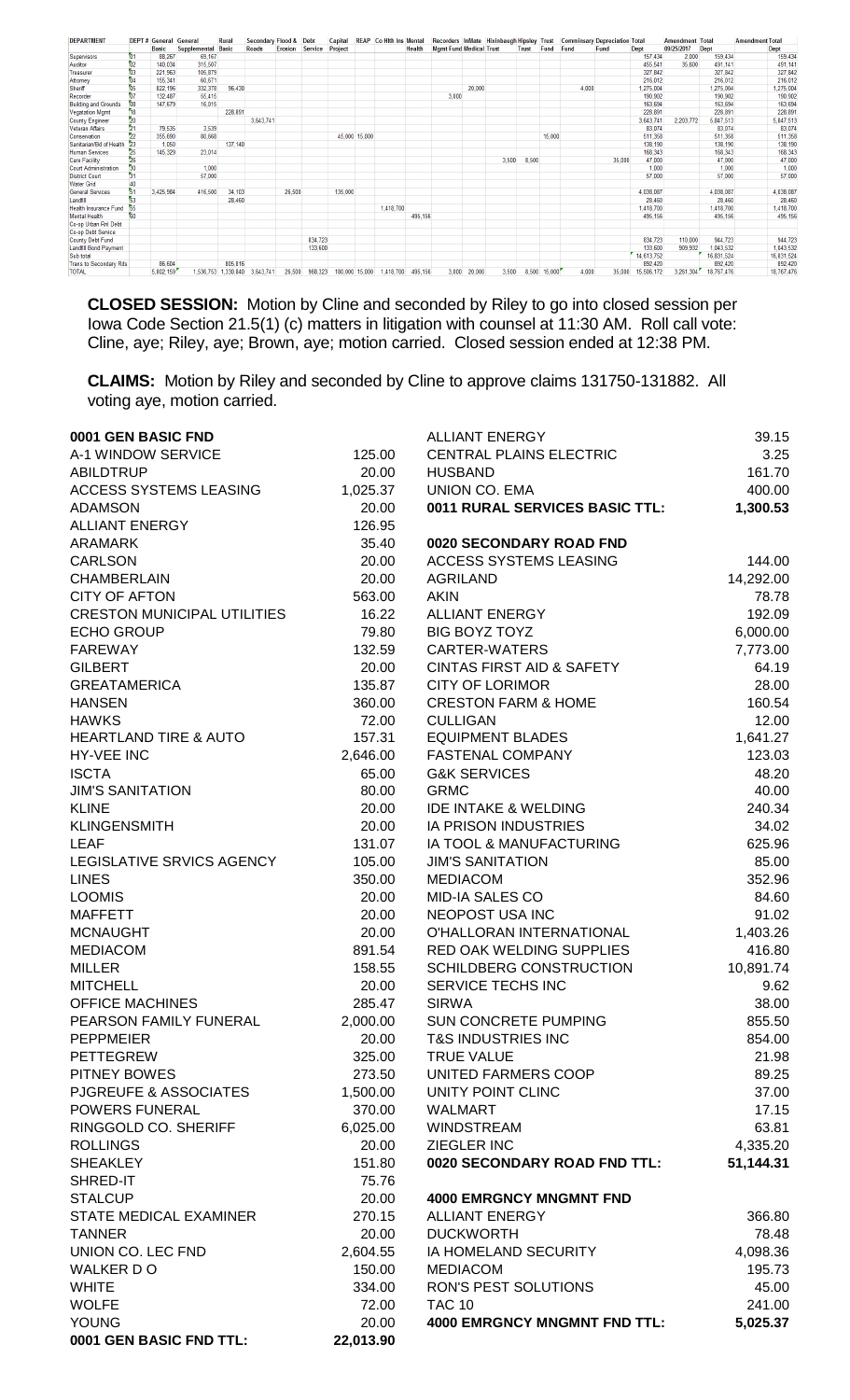| <b>DEPARTMENT</b>             |                 | <b>DEPT# General General</b> |                           | Rural   | Secondary Flood & Debt        |         |                 | Capital |                | <b>REAP Co Hith Ins Mental</b> |         |                                |              |       |       |                        |       | Recorders InMate Hixinbaugh Hipsley Trust Comminsary Depreciation Total |            | <b>Amendment Total</b> |            | <b>Amendment Total</b> |
|-------------------------------|-----------------|------------------------------|---------------------------|---------|-------------------------------|---------|-----------------|---------|----------------|--------------------------------|---------|--------------------------------|--------------|-------|-------|------------------------|-------|-------------------------------------------------------------------------|------------|------------------------|------------|------------------------|
|                               |                 | <b>Basic</b>                 | <b>Supplemental Basic</b> |         | <b>Roads</b>                  | Erosion | Service Project |         |                |                                | Health  | <b>Mamt Fund Medical Trust</b> |              |       |       | <b>Trust Fund Fund</b> |       | Fund                                                                    | Dept       | 09/25/2017             | Dept       | <b>Dept</b>            |
| <b>Supervisors</b>            | $^{61}$         | 88,267                       | 69,167                    |         |                               |         |                 |         |                |                                |         |                                |              |       |       |                        |       |                                                                         | 157,434    | 2,000                  | 159,434    | 159,434                |
| Auditor                       | 02              | 140.034                      | 315,507                   |         |                               |         |                 |         |                |                                |         |                                |              |       |       |                        |       |                                                                         | 455.541    | 35,600                 | 491.141    | 491.141                |
| <b>Treasurer</b>              | $^{63}$         | 221.963                      | 105.879                   |         |                               |         |                 |         |                |                                |         |                                |              |       |       |                        |       |                                                                         | 327.842    |                        | 327,842    | 327,842                |
| Attorney                      | 04              | 155,341                      | 60,671                    |         |                               |         |                 |         |                |                                |         |                                |              |       |       |                        |       |                                                                         | 216.012    |                        | 216,012    | 216,012                |
| Sheriff                       | 05              | 822,196                      | 332,378                   | 96,430  |                               |         |                 |         |                |                                |         |                                | 20,000       |       |       |                        | 4,000 |                                                                         | 1,275,004  |                        | 1.275.004  | 1.275.004              |
| Recorder                      | $^{67}$         | 132.487                      | 55.415                    |         |                               |         |                 |         |                |                                |         | 3.000                          |              |       |       |                        |       |                                                                         | 190.902    |                        | 190,902    | 190,902                |
| <b>Building and Grounds</b>   | 08              | 147.679                      | 16.015                    |         |                               |         |                 |         |                |                                |         |                                |              |       |       |                        |       |                                                                         | 163.694    |                        | 163.694    | 163.694                |
| <b>Vegatation Mgmt</b>        | 18              |                              |                           | 228,891 |                               |         |                 |         |                |                                |         |                                |              |       |       |                        |       |                                                                         | 228,891    |                        | 228,891    | 228,891                |
| <b>County Engineer</b>        | 20              |                              |                           |         | 3.643.741                     |         |                 |         |                |                                |         |                                |              |       |       |                        |       |                                                                         | 3,643,741  | 2.203.772              | 5,847,513  | 5,847,513              |
| <b>Veteran Affairs</b>        | 21              | 79,535                       | 3.539                     |         |                               |         |                 |         |                |                                |         |                                |              |       |       |                        |       |                                                                         | 83,074     |                        | 83,074     | 83,074                 |
| Conservation                  | 22              | 355,690                      | 80.668                    |         |                               |         |                 |         | 45.000 15.000  |                                |         |                                |              |       |       | 15,000                 |       |                                                                         | 511,358    |                        | 511,358    | 511,358                |
| Sanitarian/Bd of Health       |                 | 1.050                        |                           | 137,140 |                               |         |                 |         |                |                                |         |                                |              |       |       |                        |       |                                                                         | 138,190    |                        | 138,190    | 138,190                |
| <b>Human Services</b>         | $\frac{25}{26}$ | 145.329                      | 23.014                    |         |                               |         |                 |         |                |                                |         |                                |              |       |       |                        |       |                                                                         | 168,343    |                        | 168,343    | 168,343                |
| <b>Care Facility</b>          |                 |                              |                           |         |                               |         |                 |         |                |                                |         |                                |              | 3.500 | 8,500 |                        |       | 35,000                                                                  | 47,000     |                        | 47,000     | 47,000                 |
| <b>Court Administration</b>   | 30              |                              | 1.000                     |         |                               |         |                 |         |                |                                |         |                                |              |       |       |                        |       |                                                                         | 1.000      |                        | 1.000      | 1,000                  |
| <b>District Court</b>         | 31              |                              | 57,000                    |         |                               |         |                 |         |                |                                |         |                                |              |       |       |                        |       |                                                                         | 57,000     |                        | 57,000     | 57,000                 |
| <b>Water Grid</b>             | 40              |                              |                           |         |                               |         |                 |         |                |                                |         |                                |              |       |       |                        |       |                                                                         |            |                        |            |                        |
| <b>General Services</b>       | $\overline{51}$ | 3.425.984                    | 416,500                   | 34,103  |                               | 26,500  |                 | 135,000 |                |                                |         |                                |              |       |       |                        |       |                                                                         | 4.038.087  |                        | 4,038,087  | 4,038,087              |
| Landfill                      | 53              |                              |                           | 28,460  |                               |         |                 |         |                |                                |         |                                |              |       |       |                        |       |                                                                         | 28,460     |                        | 28,460     | 28,460                 |
| <b>Health Insurance Fund</b>  | 55              |                              |                           |         |                               |         |                 |         |                | 1,418,700                      |         |                                |              |       |       |                        |       |                                                                         | 1,418,700  |                        | 1,418,700  | 1,418,700              |
| <b>Mental Health</b>          | 60              |                              |                           |         |                               |         |                 |         |                |                                | 495.156 |                                |              |       |       |                        |       |                                                                         | 495.156    |                        | 495.156    | 495,156                |
| Co-op Urban Rnl Debt          |                 |                              |                           |         |                               |         |                 |         |                |                                |         |                                |              |       |       |                        |       |                                                                         |            |                        |            |                        |
| Co-op Debt Service            |                 |                              |                           |         |                               |         |                 |         |                |                                |         |                                |              |       |       |                        |       |                                                                         |            |                        |            |                        |
| <b>County Debt Fund</b>       |                 |                              |                           |         |                               |         | 834,723         |         |                |                                |         |                                |              |       |       |                        |       |                                                                         | 834,723    | 110,000                | 944,723    | 944,723                |
| Landfill Bond Payment         |                 |                              |                           |         |                               |         | 133,600         |         |                |                                |         |                                |              |       |       |                        |       |                                                                         | 133,600    | 909.932                | 1,043,532  | 1,043,532              |
| Sub total                     |                 |                              |                           |         |                               |         |                 |         |                |                                |         |                                |              |       |       |                        |       |                                                                         | 14,613,752 |                        | 16,831,524 | 16,831,524             |
| <b>Trans to Secondary Rds</b> |                 | 86,604                       |                           | 805.816 |                               |         |                 |         |                |                                |         |                                |              |       |       |                        |       |                                                                         | 892.420    |                        | 892,420    | 892,420                |
| <b>TOTAL</b>                  |                 | 5,802,159                    |                           |         | 1,536,753 1,330,840 3,643,741 | 26,500  | 968,323         |         | 180,000 15,000 | 1,418,700                      | 495,156 |                                | 3,000 20,000 | 3,500 |       | 8,500 15,000           | 4,000 | 35,000                                                                  | 15,506,172 | 3,261,304              | 18,767,476 | 18,767,476             |

**CLOSED SESSION:** Motion by Cline and seconded by Riley to go into closed session per Iowa Code Section 21.5(1) (c) matters in litigation with counsel at 11:30 AM. Roll call vote: Cline, aye; Riley, aye; Brown, aye; motion carried. Closed session ended at 12:38 PM.

**CLAIMS:** Motion by Riley and seconded by Cline to approve claims 131750-131882. All voting aye, motion carried.

| 0001 GEN BASIC FND                 |           | <b>ALLIANT ENERGY</b>                | 39.15     |
|------------------------------------|-----------|--------------------------------------|-----------|
| A-1 WINDOW SERVICE                 | 125.00    | <b>CENTRAL PLAINS ELECTRIC</b>       | 3.25      |
| <b>ABILDTRUP</b>                   | 20.00     | <b>HUSBAND</b>                       | 161.70    |
| <b>ACCESS SYSTEMS LEASING</b>      | 1,025.37  | UNION CO. EMA                        | 400.00    |
| <b>ADAMSON</b>                     | 20.00     | 0011 RURAL SERVICES BASIC TTL:       | 1,300.53  |
| <b>ALLIANT ENERGY</b>              | 126.95    |                                      |           |
| <b>ARAMARK</b>                     | 35.40     | 0020 SECONDARY ROAD FND              |           |
| <b>CARLSON</b>                     | 20.00     | <b>ACCESS SYSTEMS LEASING</b>        | 144.00    |
| <b>CHAMBERLAIN</b>                 | 20.00     | <b>AGRILAND</b>                      | 14,292.00 |
| <b>CITY OF AFTON</b>               | 563.00    | <b>AKIN</b>                          | 78.78     |
| <b>CRESTON MUNICIPAL UTILITIES</b> | 16.22     | <b>ALLIANT ENERGY</b>                | 192.09    |
| <b>ECHO GROUP</b>                  | 79.80     | <b>BIG BOYZ TOYZ</b>                 | 6,000.00  |
| <b>FAREWAY</b>                     | 132.59    | <b>CARTER-WATERS</b>                 | 7,773.00  |
| <b>GILBERT</b>                     | 20.00     | <b>CINTAS FIRST AID &amp; SAFETY</b> | 64.19     |
| <b>GREATAMERICA</b>                | 135.87    | <b>CITY OF LORIMOR</b>               | 28.00     |
| <b>HANSEN</b>                      | 360.00    | <b>CRESTON FARM &amp; HOME</b>       | 160.54    |
| <b>HAWKS</b>                       | 72.00     | <b>CULLIGAN</b>                      | 12.00     |
| <b>HEARTLAND TIRE &amp; AUTO</b>   | 157.31    | <b>EQUIPMENT BLADES</b>              | 1,641.27  |
| <b>HY-VEE INC</b>                  | 2,646.00  | <b>FASTENAL COMPANY</b>              | 123.03    |
| <b>ISCTA</b>                       | 65.00     | <b>G&amp;K SERVICES</b>              | 48.20     |
| <b>JIM'S SANITATION</b>            | 80.00     | <b>GRMC</b>                          | 40.00     |
| <b>KLINE</b>                       | 20.00     | <b>IDE INTAKE &amp; WELDING</b>      | 240.34    |
| <b>KLINGENSMITH</b>                | 20.00     | <b>IA PRISON INDUSTRIES</b>          | 34.02     |
| <b>LEAF</b>                        | 131.07    | IA TOOL & MANUFACTURING              | 625.96    |
| LEGISLATIVE SRVICS AGENCY          | 105.00    | <b>JIM'S SANITATION</b>              | 85.00     |
| <b>LINES</b>                       | 350.00    | <b>MEDIACOM</b>                      | 352.96    |
| <b>LOOMIS</b>                      | 20.00     | <b>MID-IA SALES CO</b>               | 84.60     |
| <b>MAFFETT</b>                     | 20.00     | NEOPOST USA INC                      | 91.02     |
| <b>MCNAUGHT</b>                    | 20.00     | O'HALLORAN INTERNATIONAL             | 1,403.26  |
| <b>MEDIACOM</b>                    | 891.54    | RED OAK WELDING SUPPLIES             | 416.80    |
| <b>MILLER</b>                      | 158.55    | SCHILDBERG CONSTRUCTION              | 10,891.74 |
| <b>MITCHELL</b>                    | 20.00     | SERVICE TECHS INC                    | 9.62      |
| <b>OFFICE MACHINES</b>             | 285.47    | <b>SIRWA</b>                         | 38.00     |
| PEARSON FAMILY FUNERAL             | 2,000.00  | <b>SUN CONCRETE PUMPING</b>          | 855.50    |
| <b>PEPPMEIER</b>                   | 20.00     | <b>T&amp;S INDUSTRIES INC</b>        | 854.00    |
| <b>PETTEGREW</b>                   | 325.00    | <b>TRUE VALUE</b>                    | 21.98     |
| PITNEY BOWES                       | 273.50    | UNITED FARMERS COOP                  | 89.25     |
| PJGREUFE & ASSOCIATES              | 1,500.00  | UNITY POINT CLINC                    | 37.00     |
| POWERS FUNERAL                     | 370.00    | WALMART                              | 17.15     |
| RINGGOLD CO. SHERIFF               | 6,025.00  | <b>WINDSTREAM</b>                    | 63.81     |
| <b>ROLLINGS</b>                    | 20.00     | ZIEGLER INC                          | 4,335.20  |
| <b>SHEAKLEY</b>                    | 151.80    | 0020 SECONDARY ROAD FND TTL:         | 51,144.31 |
| SHRED-IT                           | 75.76     |                                      |           |
| <b>STALCUP</b>                     | 20.00     | <b>4000 EMRGNCY MNGMNT FND</b>       |           |
| <b>STATE MEDICAL EXAMINER</b>      | 270.15    | <b>ALLIANT ENERGY</b>                | 366.80    |
| <b>TANNER</b>                      | 20.00     | <b>DUCKWORTH</b>                     | 78.48     |
| UNION CO. LEC FND                  | 2,604.55  | IA HOMELAND SECURITY                 | 4,098.36  |
| WALKER DO                          | 150.00    | <b>MEDIACOM</b>                      | 195.73    |
| <b>WHITE</b>                       | 334.00    | RON'S PEST SOLUTIONS                 | 45.00     |
| <b>WOLFE</b>                       | 72.00     | <b>TAC 10</b>                        | 241.00    |
| <b>YOUNG</b>                       | 20.00     | <b>4000 EMRGNCY MNGMNT FND TTL:</b>  | 5,025.37  |
| 0001 GEN BASIC FND TTL:            | 22,013.90 |                                      |           |